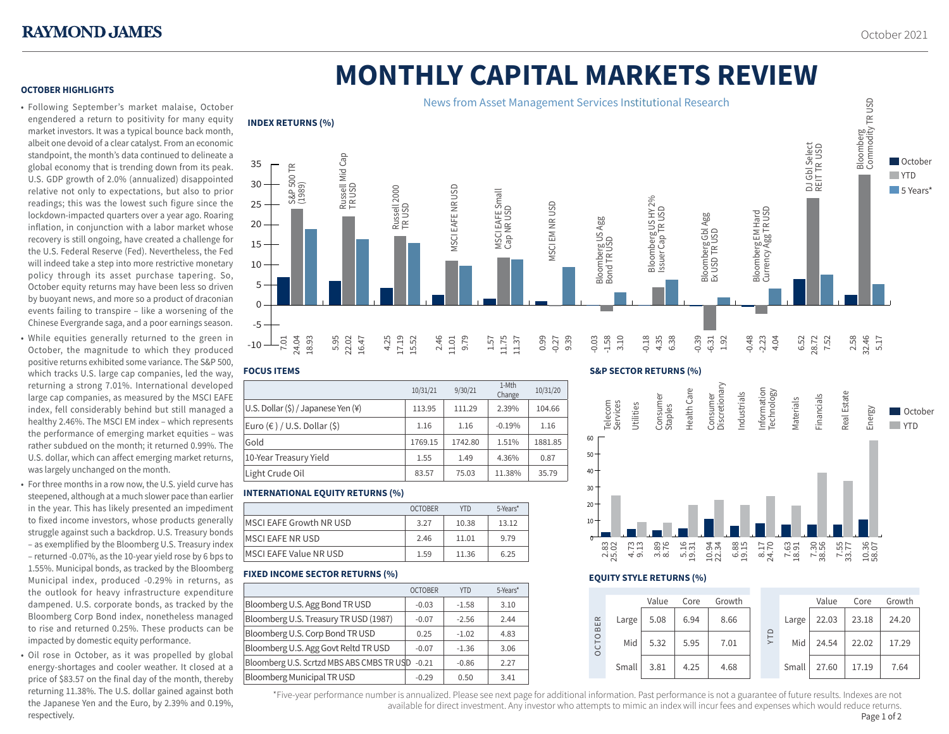# **MONTHLY CAPITAL MARKETS REVIEW**

### **OCTOBER HIGHLIGHTS**

• Following September's market malaise, October engendered a return to positivity for many equity market investors. It was a typical bounce back month, albeit one devoid of a clear catalyst. From an economic standpoint, the month's data continued to delineate a global economy that is trending down from its peak. U.S. GDP growth of 2.0% (annualized) disappointed relative not only to expectations, but also to prior readings; this was the lowest such figure since the lockdown-impacted quarters over a year ago. Roaring inflation, in conjunction with a labor market whose recovery is still ongoing, have created a challenge for the U.S. Federal Reserve (Fed). Nevertheless, the Fed will indeed take a step into more restrictive monetary policy through its asset purchase tapering. So, October equity returns may have been less so driven by buoyant news, and more so a product of draconian events failing to transpire – like a worsening of the Chinese Evergrande saga, and a poor earnings season.

- While equities generally returned to the green in October, the magnitude to which they produced positive returns exhibited some variance. The S&P 500, which tracks U.S. large cap companies, led the way, returning a strong 7.01%. International developed large cap companies, as measured by the MSCI EAFE index, fell considerably behind but still managed a healthy 2.46%. The MSCI EM index – which represents the performance of emerging market equities – was rather subdued on the month; it returned 0.99%. The U.S. dollar, which can affect emerging market returns, was largely unchanged on the month.
- For three months in a row now, the U.S. yield curve has steepened, although at a much slower pace than earlier in the year. This has likely presented an impediment to fixed income investors, whose products generally struggle against such a backdrop. U.S. Treasury bonds – as exemplified by the Bloomberg U.S. Treasury index – returned -0.07%, as the 10-year yield rose by 6 bps to 1.55%. Municipal bonds, as tracked by the Bloomberg Municipal index, produced -0.29% in returns, as the outlook for heavy infrastructure expenditure dampened. U.S. corporate bonds, as tracked by the Bloomberg Corp Bond index, nonetheless managed to rise and returned 0.25%. These products can be impacted by domestic equity performance.
- Oil rose in October, as it was propelled by global energy-shortages and cooler weather. It closed at a price of \$83.57 on the final day of the month, thereby returning 11.38%. The U.S. dollar gained against both the Japanese Yen and the Euro, by 2.39% and 0.19%, respectively.



# **FOCUS ITEMS**

|                                     | 10/31/21 | 9/30/21 | 1-Mth<br>Change | 10/31/20 |
|-------------------------------------|----------|---------|-----------------|----------|
| U.S. Dollar (\$) / Japanese Yen (¥) | 113.95   | 111.29  | 2.39%           | 104.66   |
| Euro (€ ) / U.S. Dollar (\$)        | 1.16     | 1.16    | $-0.19%$        | 1.16     |
| Gold                                | 1769.15  | 1742.80 | 1.51%           | 1881.85  |
| 10-Year Treasury Yield              | 1.55     | 1.49    | 4.36%           | 0.87     |
| Light Crude Oil                     | 83.57    | 75.03   | 11.38%          | 35.79    |
|                                     |          |         |                 |          |

# **INTERNATIONAL EQUITY RETURNS (%)**

| <b>OCTOBER</b> | <b>YTD</b> | 5-Years* |
|----------------|------------|----------|
| 3.27           | 10.38      | 13.12    |
| 2.46           | 11.01      | 9.79     |
| 1.59           | 11.36      | 6.25     |
|                |            |          |

# **FIXED INCOME SECTOR RETURNS (%)**

|                                           | <b>OCTOBER</b> | <b>YTD</b> | 5-Years* |
|-------------------------------------------|----------------|------------|----------|
| Bloomberg U.S. Agg Bond TR USD            | $-0.03$        | $-1.58$    | 3.10     |
| Bloomberg U.S. Treasury TR USD (1987)     | $-0.07$        | $-2.56$    | 2.44     |
| Bloomberg U.S. Corp Bond TR USD           | 0.25           | $-1.02$    | 4.83     |
| Bloomberg U.S. Agg Govt Reltd TR USD      | $-0.07$        | $-1.36$    | 3.06     |
| Bloomberg U.S. Scrtzd MBS ABS CMBS TR USD | $-0.21$        | $-0.86$    | 2.27     |
| <b>Bloomberg Municipal TR USD</b>         | $-0.29$        | 0.50       | 3.41     |

# **S&P SECTOR RETURNS (%)**





#### **EQUITY STYLE RETURNS (%)**

|                       |       | Value | Core | Growth |  |            |       | Value | Core  | Growth |
|-----------------------|-------|-------|------|--------|--|------------|-------|-------|-------|--------|
| ER<br>CTOB<br>$\circ$ | Large | 5.08  | 6.94 | 8.66   |  | <b>ALA</b> | Large | 22.03 | 23.18 | 24.20  |
|                       | Mid   | 5.32  | 5.95 | 7.01   |  |            | Mid   | 24.54 | 22.02 | 17.29  |
|                       | Small | 3.81  | 4.25 | 4.68   |  |            | Small | 27.60 | 17.19 | 7.64   |

\*Five-year performance number is annualized. Please see next page for additional information. Past performance is not a guarantee of future results. Indexes are not 1 available for direct investment. Any investor who attempts to mimic an index will incur fees and expenses which would reduce returns.